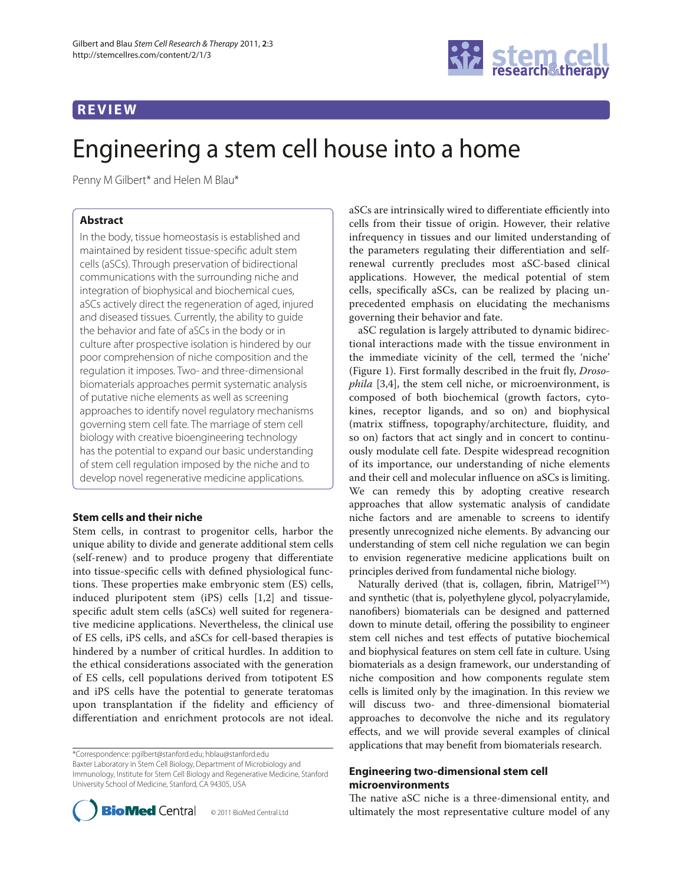## **REVIEW**



# Engineering a stem cell house into a home

Penny M Gilbert\* and Helen M Blau\*

## **Abstract**

In the body, tissue homeostasis is established and maintained by resident tissue-specific adult stem cells (aSCs). Through preservation of bidirectional communications with the surrounding niche and integration of biophysical and biochemical cues, aSCs actively direct the regeneration of aged, injured and diseased tissues. Currently, the ability to guide the behavior and fate of aSCs in the body or in culture after prospective isolation is hindered by our poor comprehension of niche composition and the regulation it imposes. Two- and three-dimensional biomaterials approaches permit systematic analysis of putative niche elements as well as screening approaches to identify novel regulatory mechanisms governing stem cell fate. The marriage of stem cell biology with creative bioengineering technology has the potential to expand our basic understanding of stem cell regulation imposed by the niche and to develop novel regenerative medicine applications.

## **Stem cells and their niche**

Stem cells, in contrast to progenitor cells, harbor the unique ability to divide and generate additional stem cells (self-renew) and to produce progeny that differentiate into tissue-specific cells with defined physiological functions. These properties make embryonic stem (ES) cells, induced pluripotent stem (iPS) cells [1,2] and tissuespecific adult stem cells (aSCs) well suited for regenerative medicine applications. Nevertheless, the clinical use of ES cells, iPS cells, and aSCs for cell-based therapies is hindered by a number of critical hurdles. In addition to the ethical considerations associated with the generation of ES cells, cell populations derived from totipotent ES and iPS cells have the potential to generate teratomas upon transplantation if the fidelity and efficiency of differentiation and enrichment protocols are not ideal.

\*Correspondence: pgilbert@stanford.edu; hblau@stanford.edu Baxter Laboratory in Stem Cell Biology, Department of Microbiology and Immunology, Institute for Stem Cell Biology and Regenerative Medicine, Stanford University School of Medicine, Stanford, CA 94305, USA



aSCs are intrinsically wired to differentiate efficiently into cells from their tissue of origin. However, their relative infrequency in tissues and our limited understanding of the parameters regulating their differentiation and selfrenewal currently precludes most aSC-based clinical applications. However, the medical potential of stem cells, specifically aSCs, can be realized by placing unprecedented emphasis on elucidating the mechanisms governing their behavior and fate.

aSC regulation is largely attributed to dynamic bidirectional interactions made with the tissue environment in the immediate vicinity of the cell, termed the 'niche' (Figure 1). First formally described in the fruit fly, *Drosophila* [3,4], the stem cell niche, or microenvironment, is composed of both biochemical (growth factors, cytokines, receptor ligands, and so on) and biophysical (matrix stiffness, topography/architecture, fluidity, and so on) factors that act singly and in concert to continuously modulate cell fate. Despite widespread recognition of its importance, our understanding of niche elements and their cell and molecular influence on aSCs is limiting. We can remedy this by adopting creative research approaches that allow systematic analysis of candidate niche factors and are amenable to screens to identify presently unrecognized niche elements. By advancing our understanding of stem cell niche regulation we can begin to envision regenerative medicine applications built on principles derived from fundamental niche biology.

Naturally derived (that is, collagen, fibrin, Matrigel $TM$ ) and synthetic (that is, polyethylene glycol, polyacrylamide, nanofibers) biomaterials can be designed and patterned down to minute detail, offering the possibility to engineer stem cell niches and test effects of putative biochemical and biophysical features on stem cell fate in culture. Using biomaterials as a design framework, our understanding of niche composition and how components regulate stem cells is limited only by the imagination. In this review we will discuss two- and three-dimensional biomaterial approaches to deconvolve the niche and its regulatory effects, and we will provide several examples of clinical applications that may benefit from biomaterials research.

## **Engineering two-dimensional stem cell microenvironments**

The native aSC niche is a three-dimensional entity, and ultimately the most representative culture model of any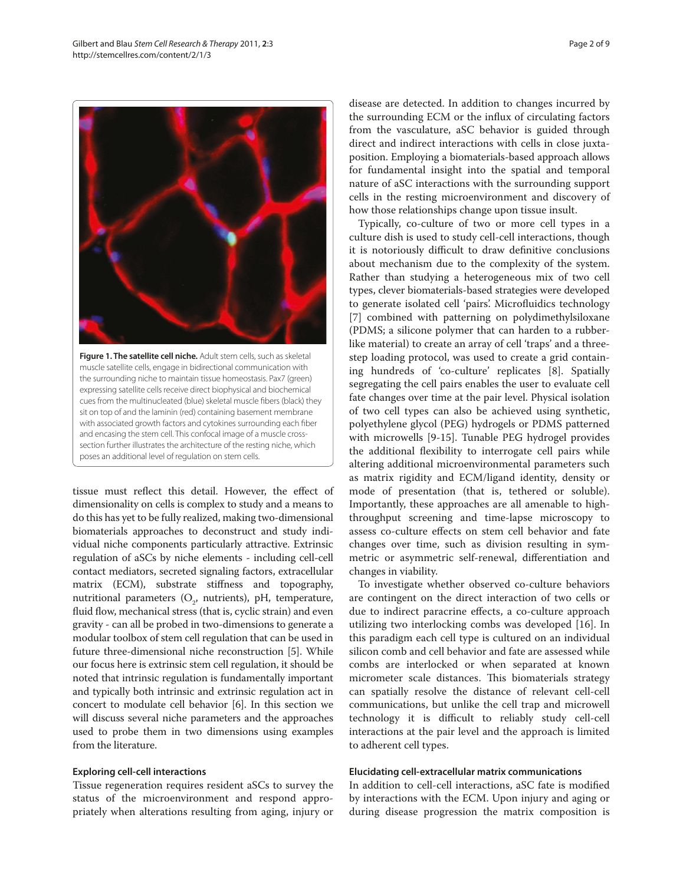

**Figure 1. The satellite cell niche.** Adult stem cells, such as skeletal muscle satellite cells, engage in bidirectional communication with the surrounding niche to maintain tissue homeostasis. Pax7 (green) expressing satellite cells receive direct biophysical and biochemical cues from the multinucleated (blue) skeletal muscle fibers (black) they sit on top of and the laminin (red) containing basement membrane with associated growth factors and cytokines surrounding each fiber and encasing the stem cell. This confocal image of a muscle crosssection further illustrates the architecture of the resting niche, which poses an additional level of regulation on stem cells.

tissue must reflect this detail. However, the effect of dimensionality on cells is complex to study and a means to do this has yet to be fully realized, making two-dimensional biomaterials approaches to deconstruct and study individual niche components particularly attractive. Extrinsic regulation of aSCs by niche elements - including cell-cell contact mediators, secreted signaling factors, extracellular matrix (ECM), substrate stiffness and topography, nutritional parameters  $(O_{2'}^{\dagger})$  nutrients), pH, temperature, fluid flow, mechanical stress (that is, cyclic strain) and even gravity - can all be probed in two-dimensions to generate a modular toolbox of stem cell regulation that can be used in future three-dimensional niche reconstruction [5]. While our focus here is extrinsic stem cell regulation, it should be noted that intrinsic regulation is fundamentally important and typically both intrinsic and extrinsic regulation act in concert to modulate cell behavior [6]. In this section we will discuss several niche parameters and the approaches used to probe them in two dimensions using examples from the literature.

#### **Exploring cell-cell interactions**

Tissue regeneration requires resident aSCs to survey the status of the microenvironment and respond appropriately when alterations resulting from aging, injury or disease are detected. In addition to changes incurred by the surrounding ECM or the influx of circulating factors from the vasculature, aSC behavior is guided through direct and indirect interactions with cells in close juxtaposition. Employing a biomaterials-based approach allows for fundamental insight into the spatial and temporal nature of aSC interactions with the surrounding support cells in the resting microenvironment and discovery of how those relationships change upon tissue insult.

Typically, co-culture of two or more cell types in a culture dish is used to study cell-cell interactions, though it is notoriously difficult to draw definitive conclusions about mechanism due to the complexity of the system. Rather than studying a heterogeneous mix of two cell types, clever biomaterials-based strategies were developed to generate isolated cell 'pairs'. Microfluidics technology [7] combined with patterning on polydimethylsiloxane (PDMS; a silicone polymer that can harden to a rubberlike material) to create an array of cell 'traps' and a threestep loading protocol, was used to create a grid containing hundreds of 'co-culture' replicates [8]. Spatially segregating the cell pairs enables the user to evaluate cell fate changes over time at the pair level. Physical isolation of two cell types can also be achieved using synthetic, polyethylene glycol (PEG) hydrogels or PDMS patterned with microwells [9-15]. Tunable PEG hydrogel provides the additional flexibility to interrogate cell pairs while altering additional microenvironmental parameters such as matrix rigidity and ECM/ligand identity, density or mode of presentation (that is, tethered or soluble). Importantly, these approaches are all amenable to highthroughput screening and time-lapse microscopy to assess co-culture effects on stem cell behavior and fate changes over time, such as division resulting in symmetric or asymmetric self-renewal, differentiation and changes in viability.

To investigate whether observed co-culture behaviors are contingent on the direct interaction of two cells or due to indirect paracrine effects, a co-culture approach utilizing two interlocking combs was developed [16]. In this paradigm each cell type is cultured on an individual silicon comb and cell behavior and fate are assessed while combs are interlocked or when separated at known micrometer scale distances. This biomaterials strategy can spatially resolve the distance of relevant cell-cell communications, but unlike the cell trap and microwell technology it is difficult to reliably study cell-cell interactions at the pair level and the approach is limited to adherent cell types.

#### **Elucidating cell-extracellular matrix communications**

In addition to cell-cell interactions, aSC fate is modified by interactions with the ECM. Upon injury and aging or during disease progression the matrix composition is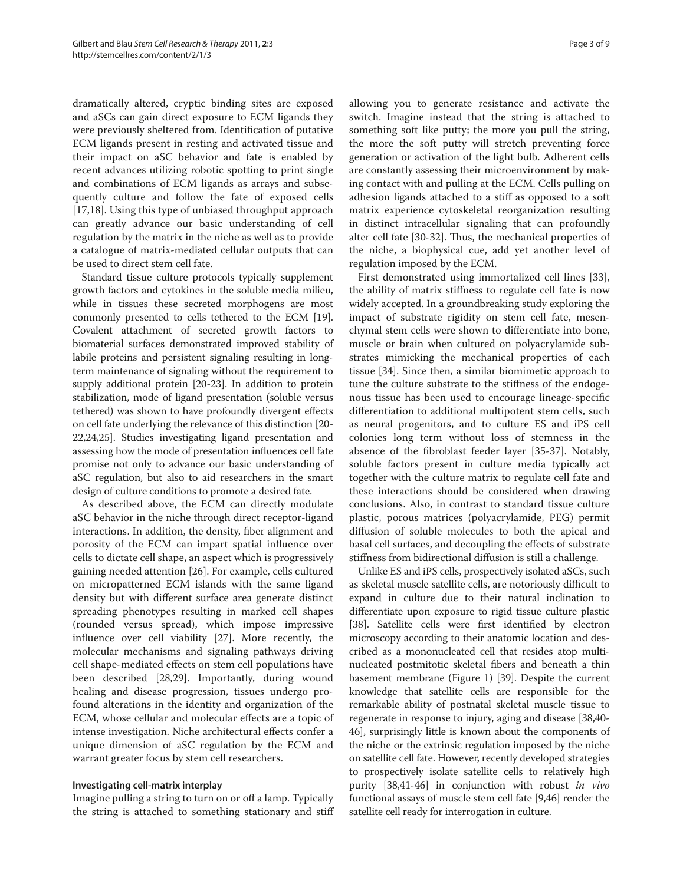dramatically altered, cryptic binding sites are exposed and aSCs can gain direct exposure to ECM ligands they were previously sheltered from. Identification of putative ECM ligands present in resting and activated tissue and their impact on aSC behavior and fate is enabled by recent advances utilizing robotic spotting to print single and combinations of ECM ligands as arrays and subsequently culture and follow the fate of exposed cells [17,18]. Using this type of unbiased throughput approach can greatly advance our basic understanding of cell regulation by the matrix in the niche as well as to provide a catalogue of matrix-mediated cellular outputs that can be used to direct stem cell fate.

Standard tissue culture protocols typically supplement growth factors and cytokines in the soluble media milieu, while in tissues these secreted morphogens are most commonly presented to cells tethered to the ECM [19]. Covalent attachment of secreted growth factors to biomaterial surfaces demonstrated improved stability of labile proteins and persistent signaling resulting in longterm maintenance of signaling without the requirement to supply additional protein [20-23]. In addition to protein stabilization, mode of ligand presentation (soluble versus tethered) was shown to have profoundly divergent effects on cell fate underlying the relevance of this distinction [20- 22,24,25]. Studies investigating ligand presentation and assessing how the mode of presentation influences cell fate promise not only to advance our basic understanding of aSC regulation, but also to aid researchers in the smart design of culture conditions to promote a desired fate.

As described above, the ECM can directly modulate aSC behavior in the niche through direct receptor-ligand interactions. In addition, the density, fiber alignment and porosity of the ECM can impart spatial influence over cells to dictate cell shape, an aspect which is progressively gaining needed attention [26]. For example, cells cultured on micropatterned ECM islands with the same ligand density but with different surface area generate distinct spreading phenotypes resulting in marked cell shapes (rounded versus spread), which impose impressive influence over cell viability  $[27]$ . More recently, the molecular mechanisms and signaling pathways driving cell shape-mediated effects on stem cell populations have been described [28,29]. Importantly, during wound healing and disease progression, tissues undergo profound alterations in the identity and organization of the ECM, whose cellular and molecular effects are a topic of intense investigation. Niche architectural effects confer a unique dimension of aSC regulation by the ECM and warrant greater focus by stem cell researchers.

#### **Investigating cell-matrix interplay**

Imagine pulling a string to turn on or off a lamp. Typically the string is attached to something stationary and stiff allowing you to generate resistance and activate the switch. Imagine instead that the string is attached to something soft like putty; the more you pull the string, the more the soft putty will stretch preventing force generation or activation of the light bulb. Adherent cells are constantly assessing their microenvironment by making contact with and pulling at the ECM. Cells pulling on adhesion ligands attached to a stiff as opposed to a soft matrix experience cytoskeletal reorganization resulting in distinct intracellular signaling that can profoundly alter cell fate [30-32]. Thus, the mechanical properties of the niche, a biophysical cue, add yet another level of regulation imposed by the ECM.

First demonstrated using immortalized cell lines [33], the ability of matrix stiffness to regulate cell fate is now widely accepted. In a groundbreaking study exploring the impact of substrate rigidity on stem cell fate, mesenchymal stem cells were shown to differentiate into bone, muscle or brain when cultured on polyacrylamide substrates mimicking the mechanical properties of each tissue [34]. Since then, a similar biomimetic approach to tune the culture substrate to the stiffness of the endogenous tissue has been used to encourage lineage-specific differentiation to additional multipotent stem cells, such as neural progenitors, and to culture ES and iPS cell colonies long term without loss of stemness in the absence of the fibroblast feeder layer [35-37]. Notably, soluble factors present in culture media typically act together with the culture matrix to regulate cell fate and these interactions should be considered when drawing conclusions. Also, in contrast to standard tissue culture plastic, porous matrices (polyacrylamide, PEG) permit diffusion of soluble molecules to both the apical and basal cell surfaces, and decoupling the effects of substrate stiffness from bidirectional diffusion is still a challenge.

Unlike ES and iPS cells, prospectively isolated aSCs, such as skeletal muscle satellite cells, are notoriously difficult to expand in culture due to their natural inclination to differentiate upon exposure to rigid tissue culture plastic [38]. Satellite cells were first identified by electron microscopy according to their anatomic location and described as a mononucleated cell that resides atop multinucleated postmitotic skeletal fibers and beneath a thin basement membrane (Figure 1) [39]. Despite the current knowledge that satellite cells are responsible for the remarkable ability of postnatal skeletal muscle tissue to regenerate in response to injury, aging and disease [38,40- 46], surprisingly little is known about the components of the niche or the extrinsic regulation imposed by the niche on satellite cell fate. However, recently developed strategies to prospectively isolate satellite cells to relatively high purity [38,41-46] in con junction with robust *in vivo* functional assays of muscle stem cell fate [9,46] render the satellite cell ready for interrogation in culture.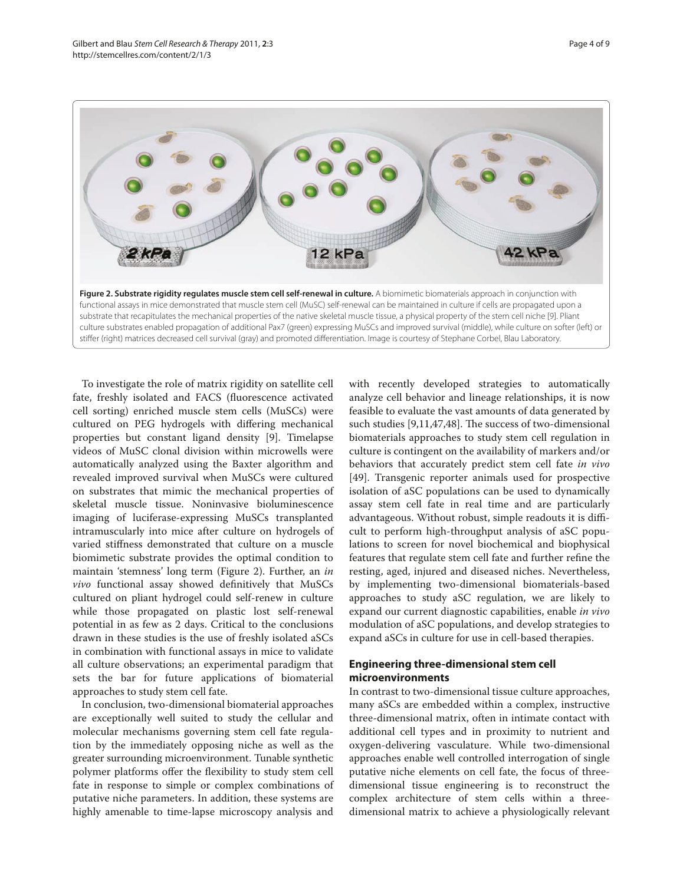

To investigate the role of matrix rigidity on satellite cell fate, freshly isolated and FACS (fluorescence activated cell sorting) enriched muscle stem cells (MuSCs) were cultured on PEG hydrogels with differing mechanical properties but constant ligand density [9]. Timelapse videos of MuSC clonal division within microwells were automatically analyzed using the Baxter algorithm and revealed improved survival when MuSCs were cultured on substrates that mimic the mechanical properties of skeletal muscle tissue. Noninvasive bioluminescence imaging of luciferase-expressing MuSCs transplanted intra muscularly into mice after culture on hydrogels of varied stiffness demonstrated that culture on a muscle biomimetic substrate provides the optimal condition to maintain 'stemness' long term (Figure 2). Further, an *in vivo* functional assay showed definitively that MuSCs cultured on pliant hydrogel could self-renew in culture while those propagated on plastic lost self-renewal potential in as few as 2 days. Critical to the conclusions drawn in these studies is the use of freshly isolated aSCs in combination with functional assays in mice to validate all culture observations; an experimental paradigm that sets the bar for future applications of biomaterial approaches to study stem cell fate.

In conclusion, two-dimensional biomaterial approaches are exceptionally well suited to study the cellular and molecular mechanisms governing stem cell fate regulation by the immediately opposing niche as well as the greater surrounding microenvironment. Tunable synthetic polymer platforms offer the flexibility to study stem cell fate in response to simple or complex combinations of putative niche parameters. In addition, these systems are highly amenable to time-lapse microscopy analysis and

with recently developed strategies to automatically analyze cell behavior and lineage relationships, it is now feasible to evaluate the vast amounts of data generated by such studies  $[9,11,47,48]$ . The success of two-dimensional biomaterials approaches to study stem cell regulation in culture is contingent on the availability of markers and/or behaviors that accurately predict stem cell fate *in vivo* [49]. Transgenic reporter animals used for prospective isolation of aSC populations can be used to dynamically assay stem cell fate in real time and are particularly advantageous. Without robust, simple readouts it is difficult to perform high-throughput analysis of aSC populations to screen for novel biochemical and biophysical features that regulate stem cell fate and further refine the resting, aged, injured and diseased niches. Nevertheless, by implementing two-dimensional biomaterials-based approaches to study aSC regulation, we are likely to expand our current diagnostic capabilities, enable *in vivo* modulation of aSC populations, and develop strategies to expand aSCs in culture for use in cell-based therapies.

## **Engineering three-dimensional stem cell microenvironments**

In contrast to two-dimensional tissue culture approaches, many aSCs are embedded within a complex, instructive three-dimensional matrix, often in intimate contact with additional cell types and in proximity to nutrient and oxygen-delivering vasculature. While two-dimensional approaches enable well controlled interrogation of single putative niche elements on cell fate, the focus of threedimensional tissue engineering is to reconstruct the complex architecture of stem cells within a threedimensional matrix to achieve a physiologically relevant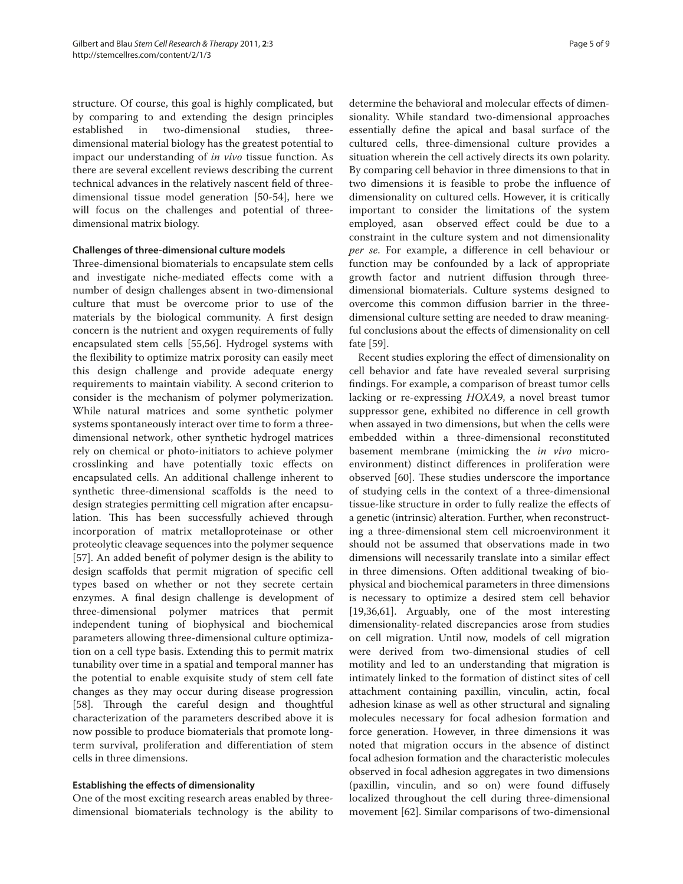structure. Of course, this goal is highly complicated, but by comparing to and extending the design principles established in two-dimensional studies, threedimensional material biology has the greatest potential to impact our understanding of *in vivo* tissue function. As there are several excellent reviews describing the current technical advances in the relatively nascent field of threedimensional tissue model generation [50-54], here we will focus on the challenges and potential of threedimensional matrix biology.

#### **Challenges of three-dimensional culture models**

Three-dimensional biomaterials to encapsulate stem cells and investigate niche-mediated effects come with a number of design challenges absent in two-dimensional culture that must be overcome prior to use of the materials by the biological community. A first design concern is the nutrient and oxygen requirements of fully encapsulated stem cells [55,56]. Hydrogel systems with the flexibility to optimize matrix porosity can easily meet this design challenge and provide adequate energy requirements to maintain viability. A second criterion to consider is the mechanism of polymer polymerization. While natural matrices and some synthetic polymer systems spontaneously interact over time to form a threedimensional network, other synthetic hydrogel matrices rely on chemical or photo-initiators to achieve polymer crosslinking and have potentially toxic effects on encapsulated cells. An additional challenge inherent to synthetic three-dimensional scaffolds is the need to design strategies permitting cell migration after encapsulation. This has been successfully achieved through incorporation of matrix metalloproteinase or other proteolytic cleavage sequences into the polymer sequence [57]. An added benefit of polymer design is the ability to design scaffolds that permit migration of specific cell types based on whether or not they secrete certain enzymes. A final design challenge is development of three-dimensional polymer matrices that permit independent tuning of biophysical and biochemical parameters allowing three-dimensional culture optimization on a cell type basis. Extending this to permit matrix tunability over time in a spatial and temporal manner has the potential to enable exquisite study of stem cell fate changes as they may occur during disease progression [58]. Through the careful design and thoughtful characterization of the parameters described above it is now possible to produce biomaterials that promote longterm survival, proliferation and differentiation of stem cells in three dimensions.

## **Establishing the effects of dimensionality**

One of the most exciting research areas enabled by threedimensional biomaterials technology is the ability to

determine the behavioral and molecular effects of dimensionality. While standard two-dimensional approaches essentially define the apical and basal surface of the cultured cells, three-dimensional culture provides a situation wherein the cell actively directs its own polarity. By comparing cell behavior in three dimensions to that in two dimensions it is feasible to probe the influence of dimensionality on cultured cells. However, it is critically important to consider the limitations of the system employed, asan observed effect could be due to a constraint in the culture system and not dimensionality *per se*. For example, a difference in cell behaviour or function may be confounded by a lack of appropriate growth factor and nutrient diffusion through threedimensional biomaterials. Culture systems designed to overcome this common diffusion barrier in the threedimensional culture setting are needed to draw meaningful conclusions about the effects of dimensionality on cell fate [59].

Recent studies exploring the effect of dimensionality on cell behavior and fate have revealed several surprising findings. For example, a comparison of breast tumor cells lacking or re-expressing *HOXA9*, a novel breast tumor suppressor gene, exhibited no difference in cell growth when assayed in two dimensions, but when the cells were embedded within a three-dimensional reconstituted basement membrane (mimicking the *in vivo* microenvironment) distinct differences in proliferation were observed [60]. These studies underscore the importance of studying cells in the context of a three-dimensional tissue-like structure in order to fully realize the effects of a genetic (intrinsic) alteration. Further, when reconstructing a three-dimensional stem cell microenvironment it should not be assumed that observations made in two dimensions will necessarily translate into a similar effect in three dimensions. Often additional tweaking of biophysical and biochemical parameters in three dimensions is necessary to optimize a desired stem cell behavior [19,36,61]. Arguably, one of the most interesting dimensionality-related discrepancies arose from studies on cell migration. Until now, models of cell migration were derived from two-dimensional studies of cell motility and led to an understanding that migration is intimately linked to the formation of distinct sites of cell attachment containing paxillin, vinculin, actin, focal adhesion kinase as well as other structural and signaling molecules necessary for focal adhesion formation and force generation. However, in three dimensions it was noted that migration occurs in the absence of distinct focal adhesion formation and the characteristic molecules observed in focal adhesion aggregates in two dimensions (paxillin, vinculin, and so on) were found diffusely localized throughout the cell during three-dimensional movement [62]. Similar comparisons of two-dimensional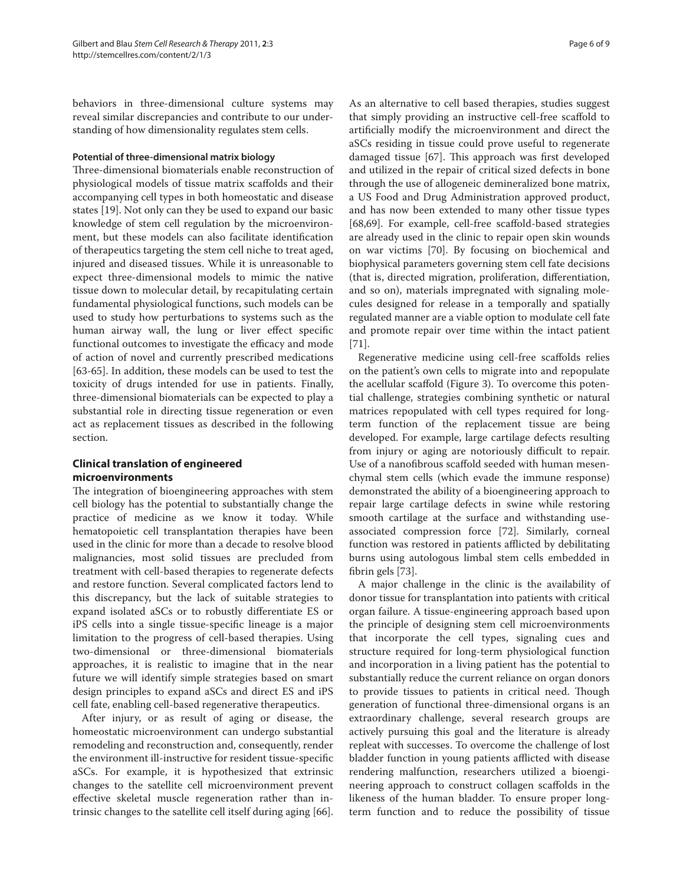behaviors in three-dimensional culture systems may reveal similar discrepancies and contribute to our understanding of how dimensionality regulates stem cells.

#### **Potential of three-dimensional matrix biology**

Three-dimensional biomaterials enable reconstruction of physiological models of tissue matrix scaffolds and their accompanying cell types in both homeostatic and disease states [19]. Not only can they be used to expand our basic knowledge of stem cell regulation by the microenvironment, but these models can also facilitate identification of therapeutics targeting the stem cell niche to treat aged, injured and diseased tissues. While it is unreasonable to expect three-dimensional models to mimic the native tissue down to molecular detail, by recapitulating certain fundamental physiological functions, such models can be used to study how perturbations to systems such as the human airway wall, the lung or liver effect specific functional outcomes to investigate the efficacy and mode of action of novel and currently prescribed medications [63-65]. In addition, these models can be used to test the toxicity of drugs intended for use in patients. Finally, three-dimensional biomaterials can be expected to play a substantial role in directing tissue regeneration or even act as replacement tissues as described in the following section.

## **Clinical translation of engineered microenvironments**

The integration of bioengineering approaches with stem cell biology has the potential to substantially change the practice of medicine as we know it today. While hematopoietic cell transplantation therapies have been used in the clinic for more than a decade to resolve blood malignancies, most solid tissues are precluded from treatment with cell-based therapies to regenerate defects and restore function. Several complicated factors lend to this discrepancy, but the lack of suitable strategies to expand isolated aSCs or to robustly differentiate ES or iPS cells into a single tissue-specific lineage is a major limitation to the progress of cell-based therapies. Using two-dimensional or three-dimensional biomaterials approaches, it is realistic to imagine that in the near future we will identify simple strategies based on smart design principles to expand aSCs and direct ES and iPS cell fate, enabling cell-based regenerative therapeutics.

After injury, or as result of aging or disease, the homeostatic microenvironment can undergo substantial remodeling and reconstruction and, consequently, render the environment ill-instructive for resident tissue-specific aSCs. For example, it is hypothesized that extrinsic changes to the satellite cell microenvironment prevent effective skeletal muscle regeneration rather than intrinsic changes to the satellite cell itself during aging [66]. As an alternative to cell based therapies, studies suggest that simply providing an instructive cell-free scaffold to artificially modify the microenvironment and direct the aSCs residing in tissue could prove useful to regenerate damaged tissue [67]. This approach was first developed and utilized in the repair of critical sized defects in bone through the use of allogeneic demineralized bone matrix, a US Food and Drug Administration approved product, and has now been extended to many other tissue types [68,69]. For example, cell-free scaffold-based strategies are already used in the clinic to repair open skin wounds on war victims [70]. By focusing on biochemical and biophysical parameters governing stem cell fate decisions (that is, directed migration, proliferation, differentiation, and so on), materials impregnated with signaling molecules designed for release in a temporally and spatially regulated manner are a viable option to modulate cell fate and promote repair over time within the intact patient [71].

Regenerative medicine using cell-free scaffolds relies on the patient's own cells to migrate into and repopulate the acellular scaffold (Figure 3). To overcome this potential challenge, strategies combining synthetic or natural matrices repopulated with cell types required for longterm function of the replacement tissue are being developed. For example, large cartilage defects resulting from injury or aging are notoriously difficult to repair. Use of a nanofibrous scaffold seeded with human mesenchymal stem cells (which evade the immune response) demonstrated the ability of a bioengineering approach to repair large cartilage defects in swine while restoring smooth cartilage at the surface and withstanding useassociated compression force [72]. Similarly, corneal function was restored in patients afflicted by debilitating burns using autologous limbal stem cells embedded in fibrin gels [73].

A major challenge in the clinic is the availability of donor tissue for transplantation into patients with critical organ failure. A tissue-engineering approach based upon the principle of designing stem cell microenvironments that incorporate the cell types, signaling cues and structure required for long-term physiological function and incorporation in a living patient has the potential to substantially reduce the current reliance on organ donors to provide tissues to patients in critical need. Though generation of functional three-dimensional organs is an extraordinary challenge, several research groups are actively pursuing this goal and the literature is already repleat with successes. To overcome the challenge of lost bladder function in young patients afflicted with disease rendering malfunction, researchers utilized a bioengineering approach to construct collagen scaffolds in the likeness of the human bladder. To ensure proper longterm function and to reduce the possibility of tissue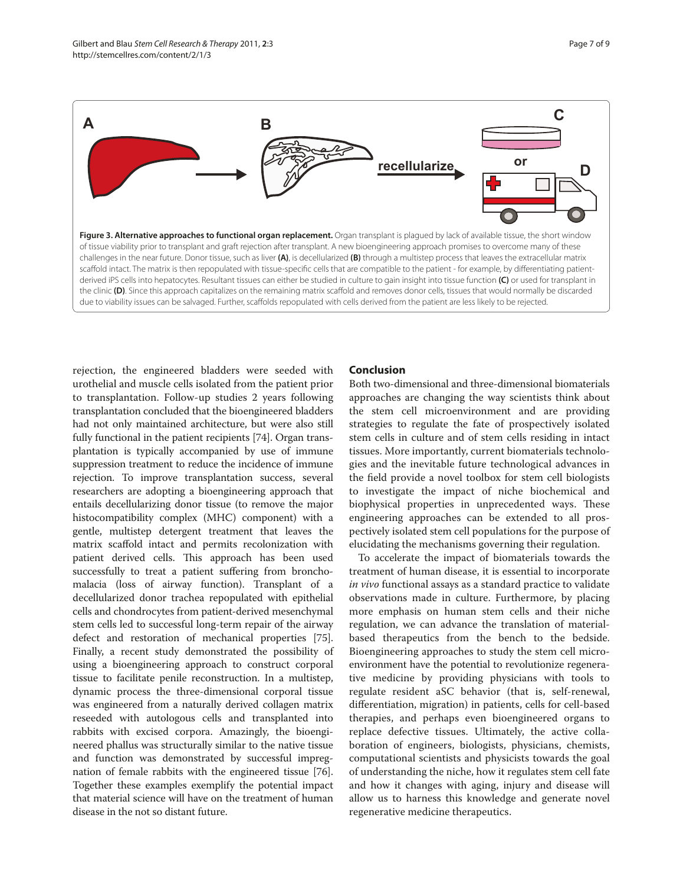

rejection, the engineered bladders were seeded with urothelial and muscle cells isolated from the patient prior to transplantation. Follow-up studies 2 years following transplantation concluded that the bioengineered bladders had not only maintained architecture, but were also still fully functional in the patient recipients [74]. Organ transplantation is typically accompanied by use of immune suppression treatment to reduce the incidence of immune rejection. To improve transplantation success, several researchers are adopting a bioengineering approach that entails decellularizing donor tissue (to remove the major histocompatibility complex (MHC) component) with a gentle, multistep detergent treatment that leaves the matrix scaffold intact and permits recolonization with patient derived cells. This approach has been used successfully to treat a patient suffering from bronchomalacia (loss of airway function). Transplant of a decellularized donor trachea repopulated with epithelial cells and chondrocytes from patient-derived mesenchymal stem cells led to successful long-term repair of the airway defect and restoration of mechanical properties [75]. Finally, a recent study demonstrated the possibility of using a bioengineering approach to construct corporal tissue to facilitate penile reconstruction. In a multistep, dynamic process the three-dimensional corporal tissue was engineered from a naturally derived collagen matrix reseeded with autologous cells and transplanted into rabbits with excised corpora. Amazingly, the bioengineered phallus was structurally similar to the native tissue and function was demonstrated by successful impregnation of female rabbits with the engineered tissue [76]. Together these examples exemplify the potential impact that material science will have on the treatment of human disease in the not so distant future.

## **Conclusion**

Both two-dimensional and three-dimensional biomaterials approaches are changing the way scientists think about the stem cell microenvironment and are providing strategies to regulate the fate of prospectively isolated stem cells in culture and of stem cells residing in intact tissues. More importantly, current biomaterials technologies and the inevitable future technological advances in the field provide a novel toolbox for stem cell biologists to investigate the impact of niche biochemical and biophysical properties in unprecedented ways. These engineering approaches can be extended to all prospectively isolated stem cell populations for the purpose of elucidating the mechanisms governing their regulation.

To accelerate the impact of biomaterials towards the treatment of human disease, it is essential to incorporate *in vivo* functional assays as a standard practice to validate observations made in culture. Furthermore, by placing more emphasis on human stem cells and their niche regulation, we can advance the translation of materialbased therapeutics from the bench to the bedside. Bioengineering approaches to study the stem cell microenvironment have the potential to revolutionize regenerative medicine by providing physicians with tools to regulate resident aSC behavior (that is, self-renewal, differentiation, migration) in patients, cells for cell-based therapies, and perhaps even bioengineered organs to replace defective tissues. Ultimately, the active collaboration of engineers, biologists, physicians, chemists, computational scientists and physicists towards the goal of understanding the niche, how it regulates stem cell fate and how it changes with aging, injury and disease will allow us to harness this knowledge and generate novel regenerative medicine therapeutics.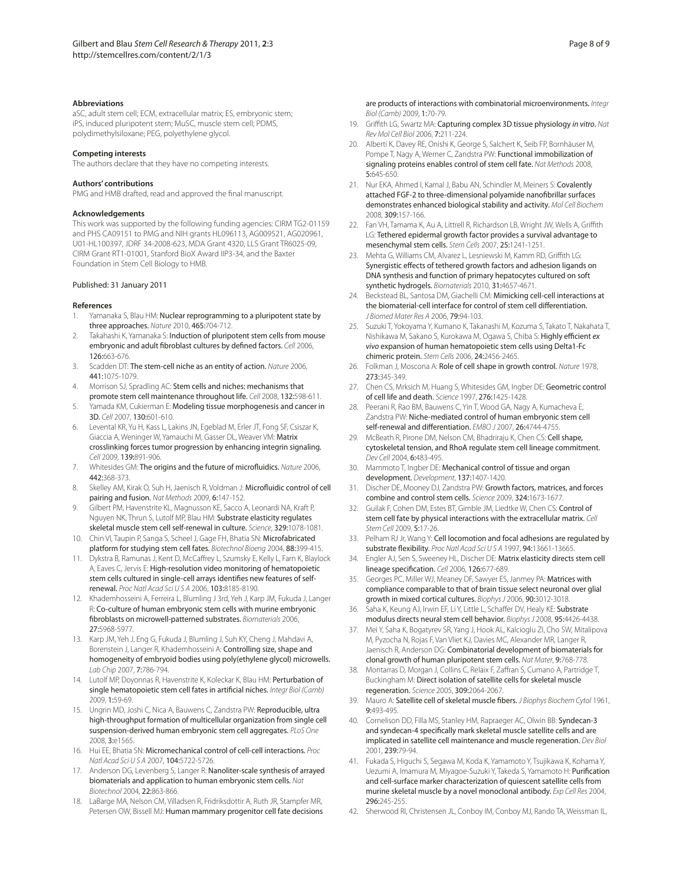#### **Abbreviations**

aSC, adult stem cell; ECM, extracellular matrix; ES, embryonic stem; iPS, induced pluripotent stem; MuSC, muscle stem cell; PDMS, polydimethylsiloxane; PEG, polyethylene glycol.

#### **Competing interests**

The authors declare that they have no competing interests.

#### **Authors' contributions**

PMG and HMB drafted, read and approved the final manuscript.

#### **Acknowledgements**

This work was supported by the following funding agencies: CIRM TG2-01159 and PHS CA09151 to PMG and NIH grants HL096113, AG009521, AG020961, U01-HL100397, JDRF 34-2008-623, MDA Grant 4320, LLS Grant TR6025-09, CIRM Grant RT1-01001, Stanford BioX Award IIP3-34, and the Baxter Foundation in Stem Cell Biology to HMB.

#### Published: 31 January 2011

#### **References**

- 1. Yamanaka S, Blau HM: Nuclear reprogramming to a pluripotent state by three approaches. Nature 2010, 465:704-712.
- Takahashi K, Yamanaka S: Induction of pluripotent stem cells from mouse embryonic and adult fibroblast cultures by defined factors. Cell 2006, 126:663-676.
- 3. Scadden DT: The stem-cell niche as an entity of action. Nature 2006, 441:1075-1079.
- 4. Morrison SJ, Spradling AC: Stem cells and niches: mechanisms that promote stem cell maintenance throughout life. Cell 2008, 132:598-611.
- 5. Yamada KM, Cukierman E: Modeling tissue morphogenesis and cancer in 3D. Cell 2007, 130:601-610.
- 6. Levental KR, Yu H, Kass L, Lakins JN, Egeblad M, Erler JT, Fong SF, Csiszar K, Giaccia A, Weninger W, Yamauchi M, Gasser DL, Weaver VM: Matrix crosslinking forces tumor progression by enhancing integrin signaling. Cell 2009, 139:891-906.
- 7. Whitesides GM: The origins and the future of microfluidics. Nature 2006, 442:368-373.
- 8. Skelley AM, Kirak O, Suh H, Jaenisch R, Voldman J: Microfluidic control of cell pairing and fusion. Nat Methods 2009, 6:147-152.
- 9. Gilbert PM, Havenstrite KL, Magnusson KE, Sacco A, Leonardi NA, Kraft P, Nguyen NK, Thrun S, Lutolf MP, Blau HM: Substrate elasticity regulates skeletal muscle stem cell self-renewal in culture. Science, 329:1078-1081.
- 10. Chin VI, Taupin P, Sanga S, Scheel J, Gage FH, Bhatia SN: Microfabricated platform for studying stem cell fates. Biotechnol Bioeng 2004, 88:399-415.
- 11. Dykstra B, Ramunas J, Kent D, McCaffrey L, Szumsky E, Kelly L, Farn K, Blaylock A, Eaves C, Jervis E: High-resolution video monitoring of hematopoietic stem cells cultured in single-cell arrays identifies new features of selfrenewal. Proc Natl Acad Sci U S A 2006, 103:8185-8190.
- 12. Khademhosseini A, Ferreira L, Blumling J 3rd, Yeh J, Karp JM, Fukuda J, Langer R: Co-culture of human embryonic stem cells with murine embryonic fibroblasts on microwell-patterned substrates. Biomaterials 2006, 27:5968-5977.
- 13. Karp JM, Yeh J, Eng G, Fukuda J, Blumling J, Suh KY, Cheng J, Mahdavi A, Borenstein J, Langer R, Khademhosseini A: Controlling size, shape and homogeneity of embryoid bodies using poly(ethylene glycol) microwells. Lab Chip 2007, 7:786-794.
- 14. Lutolf MP, Doyonnas R, Havenstrite K, Koleckar K, Blau HM: Perturbation of single hematopoietic stem cell fates in artificial niches. Integr Biol (Camb) 2009, 1:59-69.
- 15. Ungrin MD, Joshi C, Nica A, Bauwens C, Zandstra PW: Reproducible, ultra high-throughput formation of multicellular organization from single cell suspension-derived human embryonic stem cell aggregates. PLoS One 2008, 3:e1565.
- 16. Hui EE, Bhatia SN: Micromechanical control of cell-cell interactions. Proc Natl Acad Sci U S A 2007, 104:5722-5726.
- 17. Anderson DG, Levenberg S, Langer R: Nanoliter-scale synthesis of arrayed biomaterials and application to human embryonic stem cells. Nat Biotechnol 2004, 22:863-866.
- 18. LaBarge MA, Nelson CM, Villadsen R, Fridriksdottir A, Ruth JR, Stampfer MR, Petersen OW, Bissell MJ: Human mammary progenitor cell fate decisions

are products of interactions with combinatorial microenvironments. Integr Biol (Camb) 2009, 1:70-79.

- 19. Griffith LG, Swartz MA: Capturing complex 3D tissue physiology in vitro. Nat Rev Mol Cell Biol 2006, 7:211-224.
- 20. Alberti K, Davey RE, Onishi K, George S, Salchert K, Seib FP, Bornhäuser M, Pompe T, Nagy A, Werner C, Zandstra PW: Functional immobilization of signaling proteins enables control of stem cell fate. Nat Methods 2008, 5:645-650.
- 21. Nur EKA, Ahmed I, Kamal J, Babu AN, Schindler M, Meiners S: Covalently attached FGF-2 to three-dimensional polyamide nanofibrillar surfaces demonstrates enhanced biological stability and activity. Mol Cell Biochem 2008, 309:157-166.
- 22. Fan VH, Tamama K, Au A, Littrell R, Richardson LB, Wright JW, Wells A, Griffith LG: Tethered epidermal growth factor provides a survival advantage to mesenchymal stem cells. Stem Cells 2007, 25:1241-1251.
- 23. Mehta G, Williams CM, Alvarez L, Lesniewski M, Kamm RD, Griffith LG: Synergistic effects of tethered growth factors and adhesion ligands on DNA synthesis and function of primary hepatocytes cultured on soft synthetic hydrogels. Biomaterials 2010, 31:4657-4671.
- 24. Beckstead BL, Santosa DM, Giachelli CM: Mimicking cell-cell interactions at the biomaterial-cell interface for control of stem cell differentiation. J Biomed Mater Res A 2006, 79:94-103.
- 25. Suzuki T, Yokoyama Y, Kumano K, Takanashi M, Kozuma S, Takato T, Nakahata T, Nishikawa M, Sakano S, Kurokawa M, Ogawa S, Chiba S: Highly efficient ex vivo expansion of human hematopoietic stem cells using Delta1-Fc chimeric protein. Stem Cells 2006, 24:2456-2465.
- 26. Folkman J, Moscona A: Role of cell shape in growth control. Nature 1978, 273:345-349.
- 27. Chen CS, Mrksich M, Huang S, Whitesides GM, Ingber DE: Geometric control of cell life and death. Science 1997, 276:1425-1428.
- 28. Peerani R, Rao BM, Bauwens C, Yin T, Wood GA, Nagy A, Kumacheva E, Zandstra PW: Niche-mediated control of human embryonic stem cell self-renewal and differentiation. EMBO J 2007, 26:4744-4755
- 29. McBeath R, Pirone DM, Nelson CM, Bhadriraju K, Chen CS: Cell shape, cytoskeletal tension, and RhoA regulate stem cell lineage commitment. Dev Cell 2004, 6:483-495.
- 30. Mammoto T, Ingber DE: Mechanical control of tissue and organ development. Development, 137:1407-1420.
- 31. Discher DE, Mooney DJ, Zandstra PW: Growth factors, matrices, and forces combine and control stem cells. Science 2009, 324:1673-1677.
- 32. Guilak F, Cohen DM, Estes BT, Gimble JM, Liedtke W, Chen CS: Control of stem cell fate by physical interactions with the extracellular matrix. Cell Stem Cell 2009, 5:17-26.
- 33. Pelham RJ Jr, Wang Y: Cell locomotion and focal adhesions are regulated by substrate flexibility. Proc Natl Acad Sci U S A 1997, 94:13661-13665.
- Engler AJ, Sen S, Sweeney HL, Discher DE: Matrix elasticity directs stem cell lineage specification. Cell 2006, 126:677-689.
- 35. Georges PC, Miller WJ, Meaney DF, Sawyer ES, Janmey PA: Matrices with compliance comparable to that of brain tissue select neuronal over glial growth in mixed cortical cultures. Biophys J 2006, 90:3012-3018.
- 36. Saha K, Keung AJ, Irwin EF, Li Y, Little L, Schaffer DV, Healy KE: Substrate modulus directs neural stem cell behavior. Biophys J 2008, 95:4426-4438.
- 37. Mei Y, Saha K, Bogatyrev SR, Yang J, Hook AL, Kalcioglu ZI, Cho SW, Mitalipova M, Pyzocha N, Rojas F, Van Vliet KJ, Davies MC, Alexander MR, Langer R, Jaenisch R, Anderson DG: Combinatorial development of biomaterials for clonal growth of human pluripotent stem cells. Nat Mater, 9:768-778.
- 38. Montarras D, Morgan J, Collins C, Relaix F, Zaffran S, Cumano A, Partridge T, Buckingham M: Direct isolation of satellite cells for skeletal muscle regeneration. Science 2005, 309:2064-2067.
- 39. Mauro A: Satellite cell of skeletal muscle fibers. J Biophys Biochem Cytol 1961, 9:493-495.
- 40. Cornelison DD, Filla MS, Stanley HM, Rapraeger AC, Olwin BB: Syndecan-3 and syndecan-4 specifically mark skeletal muscle satellite cells and are implicated in satellite cell maintenance and muscle regeneration. Dev Biol 2001, 239:79-94.
- 41. Fukada S, Higuchi S, Segawa M, Koda K, Yamamoto Y, Tsujikawa K, Kohama Y, Uezumi A, Imamura M, Miyagoe-Suzuki Y, Takeda S, Yamamoto H: Purification and cell-surface marker characterization of quiescent satellite cells from murine skeletal muscle by a novel monoclonal antibody. Exp Cell Res 2004, 296:245-255.
- 42. Sherwood RI, Christensen JL, Conboy IM, Conboy MJ, Rando TA, Weissman IL,